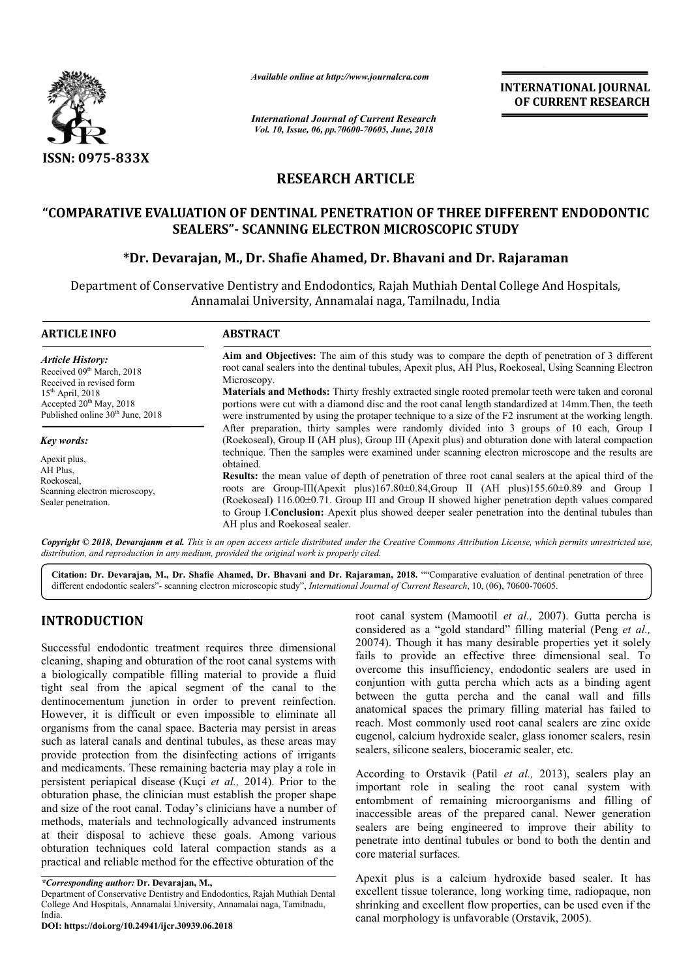

*Available online at http://www.journalcra.com*

*International Journal of Current Research Vol. 10, Issue, 06, pp.70600-70605, June, 2018*

**INTERNATIONAL JOURNAL OF CURRENT RESEARCH**

# **RESEARCH ARTICLE**

## **"COMPARATIVE EVALUATION OF DENTINAL PENETRATION OF THREE DIFFERENT ENDODONTIC**  LUATION OF DENTINAL PENETRATION OF THREE DIFFI<br>SEALERS"- SCANNING ELECTRON MICROSCOPIC STUDY

# **\*Dr. Devarajan, M., Dr. Shafie Ahamed Ahamed, Dr. Bhavani and Dr. Rajaraman**

Department of Conservative Dentistry and Endodontics, Rajah Muthiah Dental College And Hospitals, Annamalai University, Annamalai naga, Tamilnadu, India Tamilnadu,

| <b>ARTICLE INFO</b>                                                                                                                                                                             | <b>ABSTRACT</b>                                                                                                                                                                                                                                                                                                                                                                                                                                                                                                                                                    |  |  |  |
|-------------------------------------------------------------------------------------------------------------------------------------------------------------------------------------------------|--------------------------------------------------------------------------------------------------------------------------------------------------------------------------------------------------------------------------------------------------------------------------------------------------------------------------------------------------------------------------------------------------------------------------------------------------------------------------------------------------------------------------------------------------------------------|--|--|--|
| <b>Article History:</b><br>Received 09 <sup>th</sup> March, 2018<br>Received in revised form<br>$15th$ April, 2018<br>Accepted $20th$ May, 2018<br>Published online 30 <sup>th</sup> June, 2018 | <b>Aim and Objectives:</b> The aim of this study was to compare the depth of penetration of 3 different<br>root canal sealers into the dentinal tubules, Apexit plus, AH Plus, Roekoseal, Using Scanning Electron<br>Microscopy.<br><b>Materials and Methods:</b> Thirty freshly extracted single rooted premolar teeth were taken and coronal<br>portions were cut with a diamond disc and the root canal length standardized at 14mm. Then, the teeth<br>were instrumented by using the protaper technique to a size of the F2 instrument at the working length. |  |  |  |
| Key words:                                                                                                                                                                                      | After preparation, thirty samples were randomly divided into 3 groups of 10 each, Group I<br>(Roekoseal), Group II (AH plus), Group III (Apexit plus) and obturation done with lateral compaction                                                                                                                                                                                                                                                                                                                                                                  |  |  |  |
| Apexit plus,<br>AH Plus,<br>Roekoseal,<br>Scanning electron microscopy,<br>Sealer penetration.                                                                                                  | technique. Then the samples were examined under scanning electron microscope and the results are<br>obtained.<br>Results: the mean value of depth of penetration of three root canal sealers at the apical third of the<br>roots are Group-III(Apexit plus)167.80±0.84, Group II (AH plus)155.60±0.89 and Group I<br>(Roekoseal) 116.00±0.71. Group III and Group II showed higher penetration depth values compared<br>to Group I. Conclusion: Apexit plus showed deeper sealer penetration into the dentinal tubules than<br>AH plus and Roekoseal sealer.       |  |  |  |

Copyright © 2018, Devarajanm et al. This is an open access article distributed under the Creative Commons Attribution License, which permits unrestricted use, *distribution, and reproduction in any medium, provided the original work is properly cited.*

Citation: Dr. Devarajan, M., Dr. Shafie Ahamed, Dr. Bhavani and Dr. Rajaraman, 2018. ""Comparative evaluation of dentinal penetration of three different endodontic sealers"- scanning electron microscopic study", *Internati* different endodontic sealers"- scanning electron microscopic study", *International Journal of Current Research*, 10, (06),

# **INTRODUCTION**

Successful endodontic treatment requires three dimensional cleaning, shaping and obturation of the root canal systems with a biologically compatible filling material to provide a fluid tight seal from the apical segment of the canal to the dentinocementum junction in order to prevent reinfection. However, it is difficult or even impossible to eliminate all organisms from the canal space. Bacteria may persist in areas such as lateral canals and dentinal tubules, as these areas may provide protection from the disinfecting actions of irrigants and medicaments. These remaining bacteria may play a role in organisms from the canal space. Bacteria may persist in areas such as lateral canals and dentinal tubules, as these areas may provide protection from the disinfecting actions of irrigants and medicaments. These remaining b obturation phase, the clinician must establish the proper shape and size of the root canal. Today's clinicians have a number of methods, materials and technologically advanced instruments at their disposal to achieve these goals. Among various obturation techniques cold lateral compaction stands as a practical and reliable method for the effective obturation of the

**DOI: https://doi.org/10.24941/ijcr.30939.06.2018**

root canal system (Mamootil *et al.,* 2007). Gutta percha is considered as a "gold standard" filling material (Peng *et al.,* 20074). Though it has many desirable properties yet it solely fails to provide an effective three dimensional seal. To overcome this insufficiency, endodontic sealers are used in conjuntion with gutta percha which acts as a binding agent between the gutta percha and the canal wall and fills anatomical spaces the primary filling material has failed to reach. Most commonly used root canal sealers are zinc oxide eugenol, calcium hydroxide sealer, glass ionomer sealers, resin sealers, silicone sealers, bioceramic sealer, etc. has many desirable properties yet it solely rovide an effective three dimensional seal. To this insufficiency, endodontic sealers are used in with gutta percha which acts as a binding agent he gutta percha and the canal wa head in a failed to<br>the root canal sealers are zinc oxide<br>sealer, glass ionomer sealers, resin

According to Orstavik (Patil *et al.,* 2013), sealers play an important role in sealing the root canal system with entombment of remaining microorganisms and filling of inaccessible areas of the prepared canal. Newer generation sealers are being engineered to improve their ability to penetrate into dentinal tubules or bond to both the dentin and core material surfaces. important role in sealing the root canal system with<br>entombment of remaining microorganisms and filling of<br>inaccessible areas of the prepared canal. Newer generation<br>sealers are being engineered to improve their ability to

Apexit plus is a calcium hydroxide based sealer. It has excellent tissue tolerance, long working time, radiopaque, non shrinking and excellent flow properties, can be used even if the canal morphology is unfavorable (Orstavik, 2005).

*<sup>\*</sup>Corresponding author:* **Dr. Devarajan, M.,**

Department of Conservative Dentistry and Endodontics, Rajah Muthiah Dental College And Hospitals, Annamalai University, Annamalai naga, Tamilnadu, India.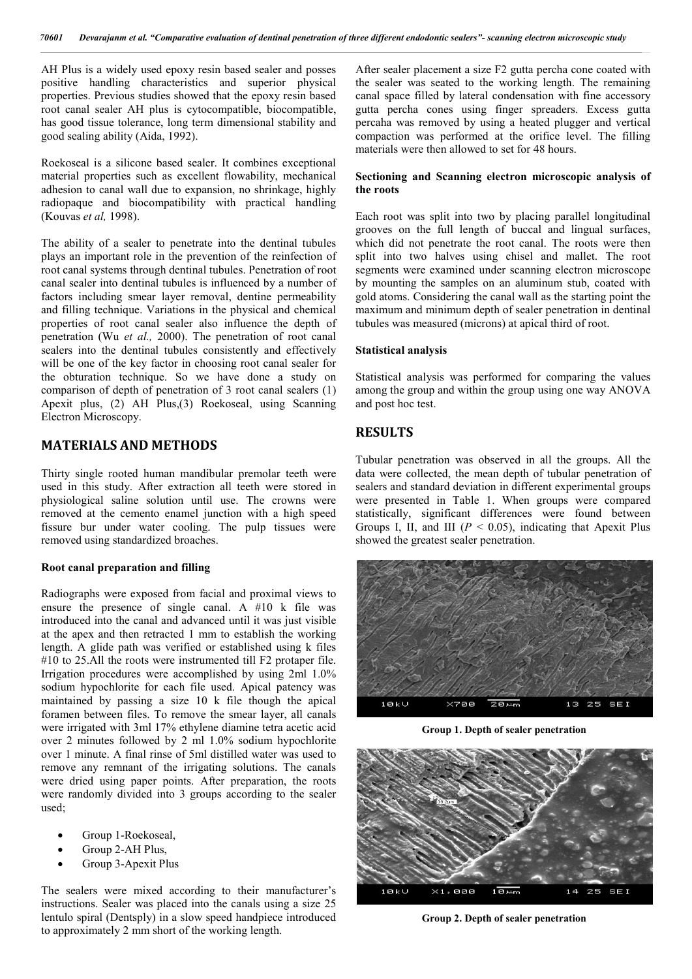AH Plus is a widely used epoxy resin based sealer and posses positive handling characteristics and superior physical properties. Previous studies showed that the epoxy resin based root canal sealer AH plus is cytocompatible, biocompatible, has good tissue tolerance, long term dimensional stability and good sealing ability (Aida, 1992).

Roekoseal is a silicone based sealer. It combines exceptional material properties such as excellent flowability, mechanical adhesion to canal wall due to expansion, no shrinkage, highly radiopaque and biocompatibility with practical handling (Kouvas *et al,* 1998).

The ability of a sealer to penetrate into the dentinal tubules plays an important role in the prevention of the reinfection of root canal systems through dentinal tubules. Penetration of root canal sealer into dentinal tubules is influenced by a number of factors including smear layer removal, dentine permeability and filling technique. Variations in the physical and chemical properties of root canal sealer also influence the depth of penetration (Wu *et al.,* 2000). The penetration of root canal sealers into the dentinal tubules consistently and effectively will be one of the key factor in choosing root canal sealer for the obturation technique. So we have done a study on comparison of depth of penetration of 3 root canal sealers (1) Apexit plus, (2) AH Plus,(3) Roekoseal, using Scanning Electron Microscopy.

## **MATERIALS AND METHODS**

Thirty single rooted human mandibular premolar teeth were used in this study. After extraction all teeth were stored in physiological saline solution until use. The crowns were removed at the cemento enamel junction with a high speed fissure bur under water cooling. The pulp tissues were removed using standardized broaches.

#### **Root canal preparation and filling**

Radiographs were exposed from facial and proximal views to ensure the presence of single canal. A #10 k file was introduced into the canal and advanced until it was just visible at the apex and then retracted 1 mm to establish the working length. A glide path was verified or established using k files #10 to 25.All the roots were instrumented till F2 protaper file. Irrigation procedures were accomplished by using 2ml 1.0% sodium hypochlorite for each file used. Apical patency was maintained by passing a size 10 k file though the apical foramen between files. To remove the smear layer, all canals were irrigated with 3ml 17% ethylene diamine tetra acetic acid over 2 minutes followed by 2 ml 1.0% sodium hypochlorite over 1 minute. A final rinse of 5ml distilled water was used to remove any remnant of the irrigating solutions. The canals were dried using paper points. After preparation, the roots were randomly divided into 3 groups according to the sealer used;

- Group 1-Roekoseal,
- Group 2-AH Plus,
- Group 3-Apexit Plus

The sealers were mixed according to their manufacturer's instructions. Sealer was placed into the canals using a size 25 lentulo spiral (Dentsply) in a slow speed handpiece introduced to approximately 2 mm short of the working length.

After sealer placement a size F2 gutta percha cone coated with the sealer was seated to the working length. The remaining canal space filled by lateral condensation with fine accessory gutta percha cones using finger spreaders. Excess gutta percaha was removed by using a heated plugger and vertical compaction was performed at the orifice level. The filling materials were then allowed to set for 48 hours.

#### **Sectioning and Scanning electron microscopic analysis of the roots**

Each root was split into two by placing parallel longitudinal grooves on the full length of buccal and lingual surfaces, which did not penetrate the root canal. The roots were then split into two halves using chisel and mallet. The root segments were examined under scanning electron microscope by mounting the samples on an aluminum stub, coated with gold atoms. Considering the canal wall as the starting point the maximum and minimum depth of sealer penetration in dentinal tubules was measured (microns) at apical third of root.

### **Statistical analysis**

Statistical analysis was performed for comparing the values among the group and within the group using one way ANOVA and post hoc test.

## **RESULTS**

Tubular penetration was observed in all the groups. All the data were collected, the mean depth of tubular penetration of sealers and standard deviation in different experimental groups were presented in Table 1. When groups were compared statistically, significant differences were found between Groups I, II, and III ( $P < 0.05$ ), indicating that Apexit Plus showed the greatest sealer penetration.



**Group 1. Depth of sealer penetration** 



**Group 2. Depth of sealer penetration**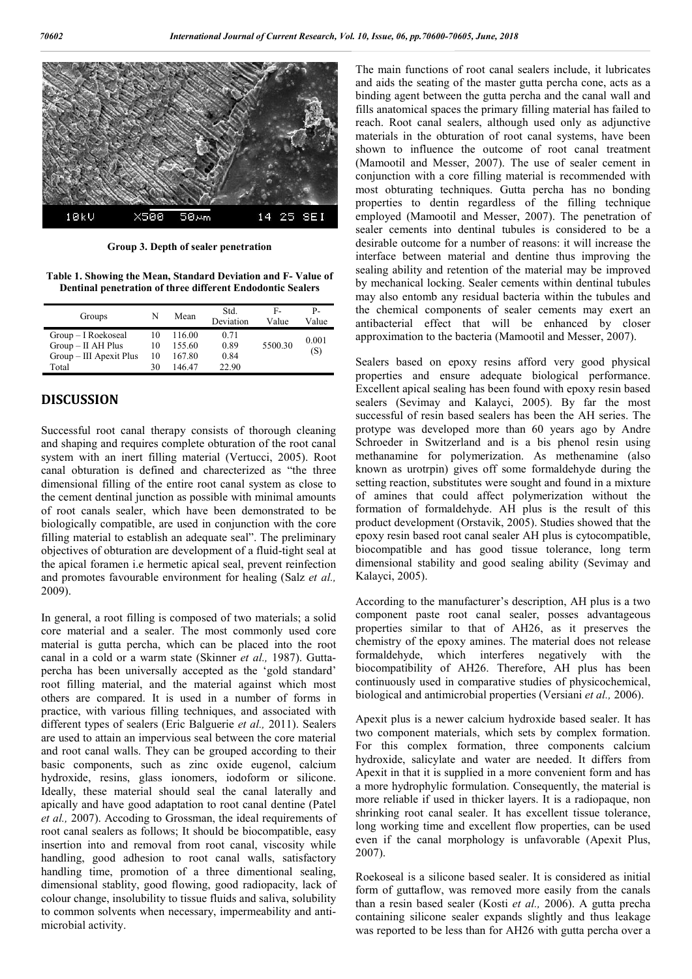

**Group 3. Depth of sealer penetration** 

**Table 1. Showing the Mean, Standard Deviation and F- Value of Dentinal penetration of three different Endodontic Sealers** 

| Groups                                      | N        | Mean             | Std.<br>Deviation | F-<br>Value | Р-<br>Value |
|---------------------------------------------|----------|------------------|-------------------|-------------|-------------|
| Group – I Roekoseal<br>$Group - II AH Plus$ | 10<br>10 | 116.00<br>155.60 | 0.71<br>0.89      | 5500.30     | 0.001       |
| Group – III Apexit Plus                     | 10       | 167.80           | 0.84              |             | (S)         |
| Total                                       | 30       | 146 47           | 22.90             |             |             |

## **DISCUSSION**

Successful root canal therapy consists of thorough cleaning and shaping and requires complete obturation of the root canal system with an inert filling material (Vertucci, 2005). Root canal obturation is defined and charecterized as "the three dimensional filling of the entire root canal system as close to the cement dentinal junction as possible with minimal amounts of root canals sealer, which have been demonstrated to be biologically compatible, are used in conjunction with the core filling material to establish an adequate seal". The preliminary objectives of obturation are development of a fluid-tight seal at the apical foramen i.e hermetic apical seal, prevent reinfection and promotes favourable environment for healing (Salz *et al.,*  2009).

In general, a root filling is composed of two materials; a solid core material and a sealer. The most commonly used core material is gutta percha, which can be placed into the root canal in a cold or a warm state (Skinner *et al.,* 1987). Guttapercha has been universally accepted as the 'gold standard' root filling material, and the material against which most others are compared. It is used in a number of forms in practice, with various filling techniques, and associated with different types of sealers (Eric Balguerie *et al.,* 2011). Sealers are used to attain an impervious seal between the core material and root canal walls. They can be grouped according to their basic components, such as zinc oxide eugenol, calcium hydroxide, resins, glass ionomers, iodoform or silicone. Ideally, these material should seal the canal laterally and apically and have good adaptation to root canal dentine (Patel *et al.,* 2007). Accoding to Grossman, the ideal requirements of root canal sealers as follows; It should be biocompatible, easy insertion into and removal from root canal, viscosity while handling, good adhesion to root canal walls, satisfactory handling time, promotion of a three dimentional sealing, dimensional stablity, good flowing, good radiopacity, lack of colour change, insolubility to tissue fluids and saliva, solubility to common solvents when necessary, impermeability and antimicrobial activity.

The main functions of root canal sealers include, it lubricates and aids the seating of the master gutta percha cone, acts as a binding agent between the gutta percha and the canal wall and fills anatomical spaces the primary filling material has failed to reach. Root canal sealers, although used only as adjunctive materials in the obturation of root canal systems, have been shown to influence the outcome of root canal treatment (Mamootil and Messer, 2007). The use of sealer cement in conjunction with a core filling material is recommended with most obturating techniques. Gutta percha has no bonding properties to dentin regardless of the filling technique employed (Mamootil and Messer, 2007). The penetration of sealer cements into dentinal tubules is considered to be a desirable outcome for a number of reasons: it will increase the interface between material and dentine thus improving the sealing ability and retention of the material may be improved by mechanical locking. Sealer cements within dentinal tubules may also entomb any residual bacteria within the tubules and the chemical components of sealer cements may exert an antibacterial effect that will be enhanced by closer approximation to the bacteria (Mamootil and Messer, 2007).

Sealers based on epoxy resins afford very good physical properties and ensure adequate biological performance. Excellent apical sealing has been found with epoxy resin based sealers (Sevimay and Kalayci, 2005). By far the most successful of resin based sealers has been the AH series. The protype was developed more than 60 years ago by Andre Schroeder in Switzerland and is a bis phenol resin using methanamine for polymerization. As methenamine (also known as urotrpin) gives off some formaldehyde during the setting reaction, substitutes were sought and found in a mixture of amines that could affect polymerization without the formation of formaldehyde. AH plus is the result of this product development (Orstavik, 2005). Studies showed that the epoxy resin based root canal sealer AH plus is cytocompatible, biocompatible and has good tissue tolerance, long term dimensional stability and good sealing ability (Sevimay and Kalayci, 2005).

According to the manufacturer's description, AH plus is a two component paste root canal sealer, posses advantageous properties similar to that of AH26, as it preserves the chemistry of the epoxy amines. The material does not release formaldehyde, which interferes negatively with the biocompatibility of AH26. Therefore, AH plus has been continuously used in comparative studies of physicochemical, biological and antimicrobial properties (Versiani *et al.,* 2006).

Apexit plus is a newer calcium hydroxide based sealer. It has two component materials, which sets by complex formation. For this complex formation, three components calcium hydroxide, salicylate and water are needed. It differs from Apexit in that it is supplied in a more convenient form and has a more hydrophylic formulation. Consequently, the material is more reliable if used in thicker layers. It is a radiopaque, non shrinking root canal sealer. It has excellent tissue tolerance, long working time and excellent flow properties, can be used even if the canal morphology is unfavorable (Apexit Plus, 2007).

Roekoseal is a silicone based sealer. It is considered as initial form of guttaflow, was removed more easily from the canals than a resin based sealer (Kosti *et al.,* 2006). A gutta precha containing silicone sealer expands slightly and thus leakage was reported to be less than for AH26 with gutta percha over a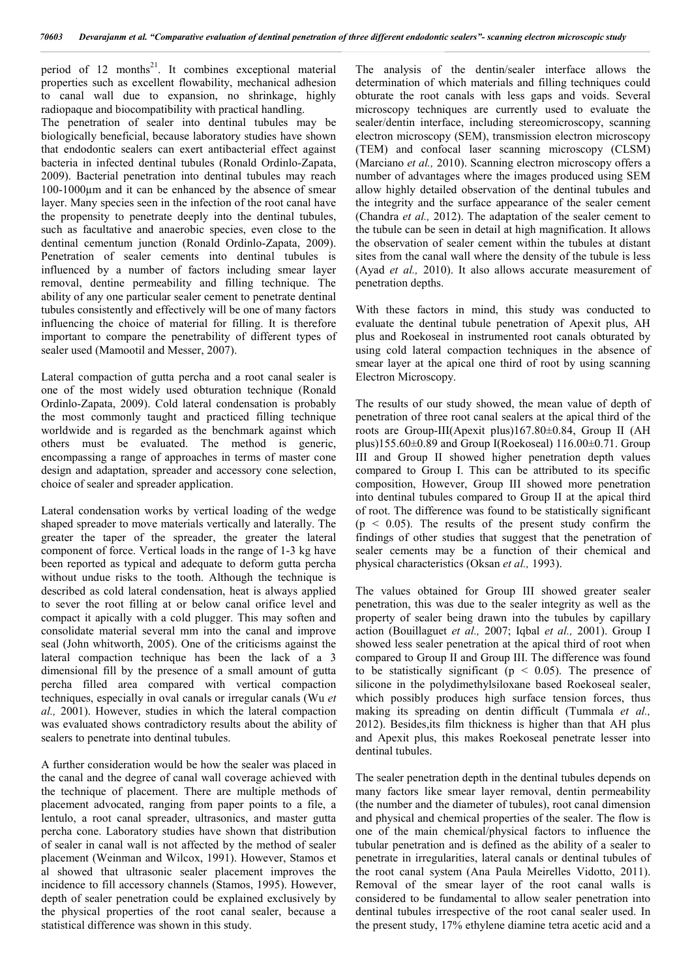period of 12 months<sup>21</sup>. It combines exceptional material properties such as excellent flowability, mechanical adhesion to canal wall due to expansion, no shrinkage, highly radiopaque and biocompatibility with practical handling.

The penetration of sealer into dentinal tubules may be biologically beneficial, because laboratory studies have shown that endodontic sealers can exert antibacterial effect against bacteria in infected dentinal tubules (Ronald Ordinlo-Zapata, 2009). Bacterial penetration into dentinal tubules may reach 100-1000µm and it can be enhanced by the absence of smear layer. Many species seen in the infection of the root canal have the propensity to penetrate deeply into the dentinal tubules, such as facultative and anaerobic species, even close to the dentinal cementum junction (Ronald Ordinlo-Zapata, 2009). Penetration of sealer cements into dentinal tubules is influenced by a number of factors including smear layer removal, dentine permeability and filling technique. The ability of any one particular sealer cement to penetrate dentinal tubules consistently and effectively will be one of many factors influencing the choice of material for filling. It is therefore important to compare the penetrability of different types of sealer used (Mamootil and Messer, 2007).

Lateral compaction of gutta percha and a root canal sealer is one of the most widely used obturation technique (Ronald Ordinlo-Zapata, 2009). Cold lateral condensation is probably the most commonly taught and practiced filling technique worldwide and is regarded as the benchmark against which others must be evaluated. The method is generic, encompassing a range of approaches in terms of master cone design and adaptation, spreader and accessory cone selection, choice of sealer and spreader application.

Lateral condensation works by vertical loading of the wedge shaped spreader to move materials vertically and laterally. The greater the taper of the spreader, the greater the lateral component of force. Vertical loads in the range of 1-3 kg have been reported as typical and adequate to deform gutta percha without undue risks to the tooth. Although the technique is described as cold lateral condensation, heat is always applied to sever the root filling at or below canal orifice level and compact it apically with a cold plugger. This may soften and consolidate material several mm into the canal and improve seal (John whitworth, 2005). One of the criticisms against the lateral compaction technique has been the lack of a 3 dimensional fill by the presence of a small amount of gutta percha filled area compared with vertical compaction techniques, especially in oval canals or irregular canals (Wu *et al.,* 2001). However, studies in which the lateral compaction was evaluated shows contradictory results about the ability of sealers to penetrate into dentinal tubules.

A further consideration would be how the sealer was placed in the canal and the degree of canal wall coverage achieved with the technique of placement. There are multiple methods of placement advocated, ranging from paper points to a file, a lentulo, a root canal spreader, ultrasonics, and master gutta percha cone. Laboratory studies have shown that distribution of sealer in canal wall is not affected by the method of sealer placement (Weinman and Wilcox, 1991). However, Stamos et al showed that ultrasonic sealer placement improves the incidence to fill accessory channels (Stamos, 1995). However, depth of sealer penetration could be explained exclusively by the physical properties of the root canal sealer, because a statistical difference was shown in this study.

The analysis of the dentin/sealer interface allows the determination of which materials and filling techniques could obturate the root canals with less gaps and voids. Several microscopy techniques are currently used to evaluate the sealer/dentin interface, including stereomicroscopy, scanning electron microscopy (SEM), transmission electron microscopy (TEM) and confocal laser scanning microscopy (CLSM) (Marciano *et al.,* 2010). Scanning electron microscopy offers a number of advantages where the images produced using SEM allow highly detailed observation of the dentinal tubules and the integrity and the surface appearance of the sealer cement (Chandra *et al.,* 2012). The adaptation of the sealer cement to the tubule can be seen in detail at high magnification. It allows the observation of sealer cement within the tubules at distant sites from the canal wall where the density of the tubule is less (Ayad *et al.,* 2010). It also allows accurate measurement of penetration depths.

With these factors in mind, this study was conducted to evaluate the dentinal tubule penetration of Apexit plus, AH plus and Roekoseal in instrumented root canals obturated by using cold lateral compaction techniques in the absence of smear layer at the apical one third of root by using scanning Electron Microscopy.

The results of our study showed, the mean value of depth of penetration of three root canal sealers at the apical third of the roots are Group-III(Apexit plus)167.80±0.84, Group II (AH plus)155.60±0.89 and Group I(Roekoseal) 116.00±0.71. Group III and Group II showed higher penetration depth values compared to Group I. This can be attributed to its specific composition, However, Group III showed more penetration into dentinal tubules compared to Group II at the apical third of root. The difference was found to be statistically significant  $(p < 0.05)$ . The results of the present study confirm the findings of other studies that suggest that the penetration of sealer cements may be a function of their chemical and physical characteristics (Oksan *et al.,* 1993).

The values obtained for Group III showed greater sealer penetration, this was due to the sealer integrity as well as the property of sealer being drawn into the tubules by capillary action (Bouillaguet *et al.,* 2007; Iqbal *et al.,* 2001). Group I showed less sealer penetration at the apical third of root when compared to Group II and Group III. The difference was found to be statistically significant ( $p < 0.05$ ). The presence of silicone in the polydimethylsiloxane based Roekoseal sealer, which possibly produces high surface tension forces, thus making its spreading on dentin difficult (Tummala *et al.,*  2012). Besides,its film thickness is higher than that AH plus and Apexit plus, this makes Roekoseal penetrate lesser into dentinal tubules.

The sealer penetration depth in the dentinal tubules depends on many factors like smear layer removal, dentin permeability (the number and the diameter of tubules), root canal dimension and physical and chemical properties of the sealer. The flow is one of the main chemical/physical factors to influence the tubular penetration and is defined as the ability of a sealer to penetrate in irregularities, lateral canals or dentinal tubules of the root canal system (Ana Paula Meirelles Vidotto, 2011). Removal of the smear layer of the root canal walls is considered to be fundamental to allow sealer penetration into dentinal tubules irrespective of the root canal sealer used. In the present study, 17% ethylene diamine tetra acetic acid and a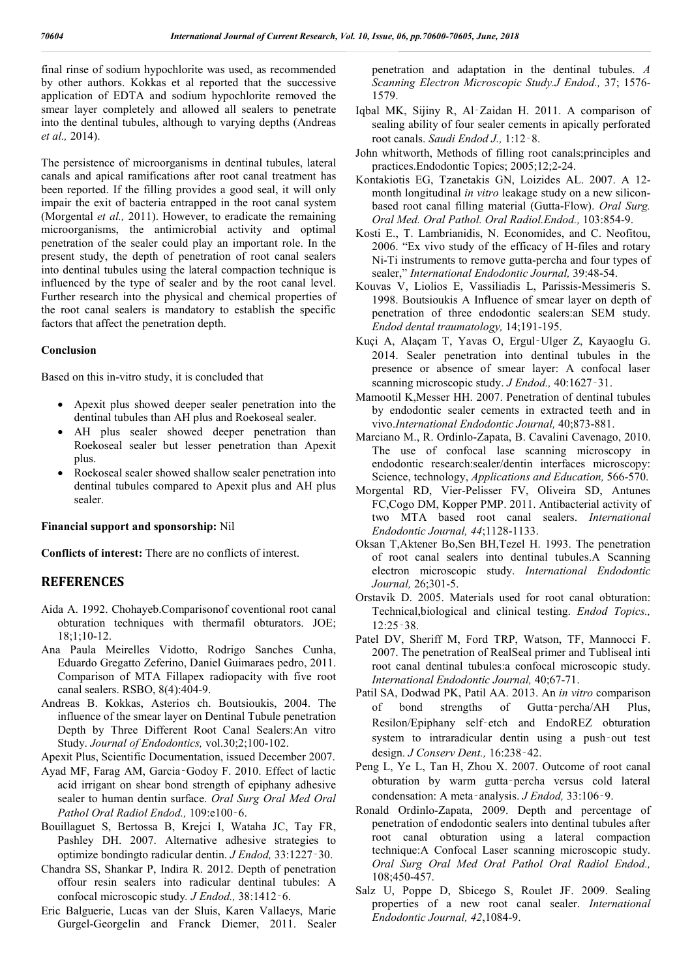final rinse of sodium hypochlorite was used, as recommended by other authors. Kokkas et al reported that the successive application of EDTA and sodium hypochlorite removed the smear layer completely and allowed all sealers to penetrate into the dentinal tubules, although to varying depths (Andreas *et al.,* 2014).

The persistence of microorganisms in dentinal tubules, lateral canals and apical ramifications after root canal treatment has been reported. If the filling provides a good seal, it will only impair the exit of bacteria entrapped in the root canal system (Morgental *et al.,* 2011). However, to eradicate the remaining microorganisms, the antimicrobial activity and optimal penetration of the sealer could play an important role. In the present study, the depth of penetration of root canal sealers into dentinal tubules using the lateral compaction technique is influenced by the type of sealer and by the root canal level. Further research into the physical and chemical properties of the root canal sealers is mandatory to establish the specific factors that affect the penetration depth.

### **Conclusion**

Based on this in-vitro study, it is concluded that

- Apexit plus showed deeper sealer penetration into the dentinal tubules than AH plus and Roekoseal sealer.
- AH plus sealer showed deeper penetration than Roekoseal sealer but lesser penetration than Apexit plus.
- Roekoseal sealer showed shallow sealer penetration into dentinal tubules compared to Apexit plus and AH plus sealer.

### **Financial support and sponsorship:** Nil

**Conflicts of interest:** There are no conflicts of interest.

### **REFERENCES**

- Aida A. 1992. Chohayeb.Comparisonof coventional root canal obturation techniques with thermafil obturators. JOE; 18;1;10-12.
- Ana Paula Meirelles Vidotto, Rodrigo Sanches Cunha, Eduardo Gregatto Zeferino, Daniel Guimaraes pedro, 2011. Comparison of MTA Fillapex radiopacity with five root canal sealers. RSBO, 8(4):404-9.
- Andreas B. Kokkas, Asterios ch. Boutsioukis, 2004. The influence of the smear layer on Dentinal Tubule penetration Depth by Three Different Root Canal Sealers:An vitro Study. *Journal of Endodontics,* vol.30;2;100-102.
- Apexit Plus, Scientific Documentation, issued December 2007.
- Ayad MF, Farag AM, Garcia‑Godoy F. 2010. Effect of lactic acid irrigant on shear bond strength of epiphany adhesive sealer to human dentin surface. *Oral Surg Oral Med Oral Pathol Oral Radiol Endod.,* 109:e100‑6.
- Bouillaguet S, Bertossa B, Krejci I, Wataha JC, Tay FR, Pashley DH. 2007. Alternative adhesive strategies to optimize bondingto radicular dentin. *J Endod,* 33:1227‑30.
- Chandra SS, Shankar P, Indira R. 2012. Depth of penetration offour resin sealers into radicular dentinal tubules: A confocal microscopic study*. J Endod.,* 38:1412‑6.
- Eric Balguerie, Lucas van der Sluis, Karen Vallaeys, Marie Gurgel-Georgelin and Franck Diemer, 2011. Sealer

penetration and adaptation in the dentinal tubules. *A Scanning Electron Microscopic Study.J Endod.,* 37; 1576- 1579.

- Iqbal MK, Sijiny R, Al‑Zaidan H. 2011. A comparison of sealing ability of four sealer cements in apically perforated root canals. *Saudi Endod J.,* 1:12‑8.
- John whitworth, Methods of filling root canals;principles and practices.Endodontic Topics; 2005;12;2-24.
- Kontakiotis EG, Tzanetakis GN, Loizides AL. 2007. A 12 month longitudinal *in vitro* leakage study on a new siliconbased root canal filling material (Gutta-Flow). *Oral Surg. Oral Med. Oral Pathol. Oral Radiol.Endod.,* 103:854-9.
- Kosti E., T. Lambrianidis, N. Economides, and C. Neofitou, 2006. "Ex vivo study of the efficacy of H-files and rotary Ni-Ti instruments to remove gutta-percha and four types of sealer," *International Endodontic Journal,* 39:48-54.
- Kouvas V, Liolios E, Vassiliadis L, Parissis-Messimeris S. 1998. Boutsioukis A Influence of smear layer on depth of penetration of three endodontic sealers:an SEM study. *Endod dental traumatology,* 14;191-195.
- Kuçi A, Alaçam T, Yavas O, Ergul‑Ulger Z, Kayaoglu G. 2014. Sealer penetration into dentinal tubules in the presence or absence of smear layer: A confocal laser scanning microscopic study. *J Endod.,* 40:1627‑31.
- Mamootil K,Messer HH. 2007. Penetration of dentinal tubules by endodontic sealer cements in extracted teeth and in vivo.*International Endodontic Journal,* 40;873-881.
- Marciano M., R. Ordinlo-Zapata, B. Cavalini Cavenago, 2010. The use of confocal lase scanning microscopy in endodontic research:sealer/dentin interfaces microscopy: Science, technology, *Applications and Education,* 566-570.
- Morgental RD, Vier-Pelisser FV, Oliveira SD, Antunes FC,Cogo DM, Kopper PMP. 2011. Antibacterial activity of two MTA based root canal sealers. *International Endodontic Journal, 44*;1128-1133.
- Oksan T,Aktener Bo,Sen BH,Tezel H. 1993. The penetration of root canal sealers into dentinal tubules.A Scanning electron microscopic study. *International Endodontic Journal,* 26;301-5.
- Orstavik D. 2005. Materials used for root canal obturation: Technical,biological and clinical testing. *Endod Topics.,* 12:25‑38.
- Patel DV, Sheriff M, Ford TRP, Watson, TF, Mannocci F. 2007. The penetration of RealSeal primer and Tubliseal inti root canal dentinal tubules:a confocal microscopic study. *International Endodontic Journal,* 40;67-71.
- Patil SA, Dodwad PK, Patil AA. 2013. An *in vitro* comparison of bond strengths of Gutta‑percha/AH Plus, Resilon/Epiphany self‑etch and EndoREZ obturation system to intraradicular dentin using a push-out test design. *J Conserv Dent.,* 16:238‑42.
- Peng L, Ye L, Tan H, Zhou X. 2007. Outcome of root canal obturation by warm gutta‑percha versus cold lateral condensation: A meta‑analysis. *J Endod,* 33:106‑9.
- Ronald Ordinlo-Zapata, 2009. Depth and percentage of penetration of endodontic sealers into dentinal tubules after root canal obturation using a lateral compaction technique:A Confocal Laser scanning microscopic study. *Oral Surg Oral Med Oral Pathol Oral Radiol Endod.,*  108;450-457.
- Salz U, Poppe D, Sbicego S, Roulet JF. 2009. Sealing properties of a new root canal sealer. *International Endodontic Journal, 42*,1084-9.